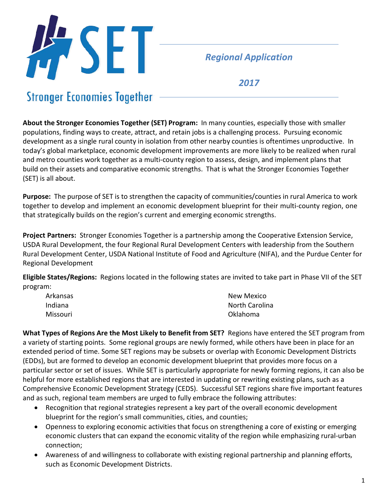

## *Regional Application*

*2017*

# **Stronger Economies Together**

**About the Stronger Economies Together (SET) Program:** In many counties, especially those with smaller populations, finding ways to create, attract, and retain jobs is a challenging process. Pursuing economic development as a single rural county in isolation from other nearby counties is oftentimes unproductive. In today's global marketplace, economic development improvements are more likely to be realized when rural and metro counties work together as a multi-county region to assess, design, and implement plans that build on their assets and comparative economic strengths. That is what the Stronger Economies Together (SET) is all about.

**Purpose:** The purpose of SET is to strengthen the capacity of communities/counties in rural America to work together to develop and implement an economic development blueprint for their multi-county region, one that strategically builds on the region's current and emerging economic strengths.

**Project Partners:** Stronger Economies Together is a partnership among the Cooperative Extension Service, USDA Rural Development, the four Regional Rural Development Centers with leadership from the Southern Rural Development Center, USDA National Institute of Food and Agriculture (NIFA), and the Purdue Center for Regional Development

**Eligible States/Regions:** Regions located in the following states are invited to take part in Phase VII of the SET program:

| Arkansas | New Mexico     |
|----------|----------------|
| Indiana  | North Carolina |
| Missouri | Oklahoma       |

**What Types of Regions Are the Most Likely to Benefit from SET?** Regions have entered the SET program from a variety of starting points. Some regional groups are newly formed, while others have been in place for an extended period of time. Some SET regions may be subsets or overlap with Economic Development Districts (EDDs), but are formed to develop an economic development blueprint that provides more focus on a particular sector or set of issues. While SET is particularly appropriate for newly forming regions, it can also be helpful for more established regions that are interested in updating or rewriting existing plans, such as a Comprehensive Economic Development Strategy (CEDS). Successful SET regions share five important features and as such, regional team members are urged to fully embrace the following attributes:

- Recognition that regional strategies represent a key part of the overall economic development blueprint for the region's small communities, cities, and counties;
- Openness to exploring economic activities that focus on strengthening a core of existing or emerging economic clusters that can expand the economic vitality of the region while emphasizing rural-urban connection;
- Awareness of and willingness to collaborate with existing regional partnership and planning efforts, such as Economic Development Districts.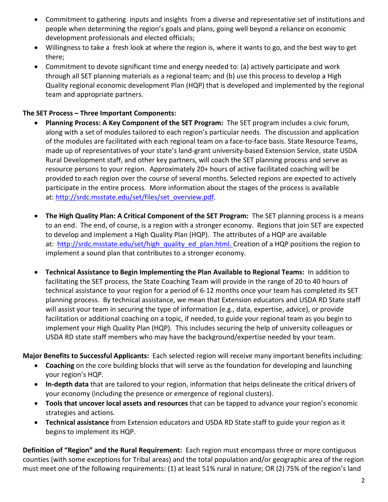- Commitment to gathering inputs and insights from a diverse and representative set of institutions and people when determining the region's goals and plans, going well beyond a reliance on economic development professionals and elected officials;
- Willingness to take a fresh look at where the region is, where it wants to go, and the best way to get there;
- Commitment to devote significant time and energy needed to: (a) actively participate and work through all SET planning materials as a regional team; and (b) use this process to develop a High Quality regional economic development Plan (HQP) that is developed and implemented by the regional team and appropriate partners.

#### **The SET Process – Three Important Components:**

- **Planning Process: A Key Component of the SET Program:** The SET program includes a civic forum, along with a set of modules tailored to each region's particular needs. The discussion and application of the modules are facilitated with each regional team on a face-to-face basis. State Resource Teams, made up of representatives of your state's land-grant university-based Extension Service, state USDA Rural Development staff, and other key partners, will coach the SET planning process and serve as resource persons to your region. Approximately 20+ hours of active facilitated coaching will be provided to each region over the course of several months. Selected regions are expected to actively participate in the entire process. More information about the stages of the process is available at: http://srdc.msstate.edu/set/files/set\_overview.pdf.
- **The High Quality Plan: A Critical Component of the SET Program:** The SET planning process is a means to an end. The end, of course, is a region with a stronger economy. Regions that join SET are expected to develop and implement a High Quality Plan (HQP). The attributes of a HQP are available at: http://srdc.msstate.edu/set/high\_quality\_ed\_plan.html. Creation of a HQP positions the region to implement a sound plan that contributes to a stronger economy.
- **Technical Assistance to Begin Implementing the Plan Available to Regional Teams:** In addition to facilitating the SET process, the State Coaching Team will provide in the range of 20 to 40 hours of technical assistance to your region for a period of 6-12 months once your team has completed its SET planning process. By technical assistance, we mean that Extension educators and USDA RD State staff will assist your team in securing the type of information (e.g., data, expertise, advice), or provide facilitation or additional coaching on a topic, if needed, to guide your regional team as you begin to implement your High Quality Plan (HQP). This includes securing the help of university colleagues or USDA RD state staff members who may have the background/expertise needed by your team.

**Major Benefits to Successful Applicants:** Each selected region will receive many important benefits including:

- **Coaching** on the core building blocks that will serve as the foundation for developing and launching your region's HQP.
- **In-depth data** that are tailored to your region, information that helps delineate the critical drivers of your economy (including the presence or emergence of regional clusters).
- **Tools that uncover local assets and resources** that can be tapped to advance your region's economic strategies and actions.
- **Technical assistance** from Extension educators and USDA RD State staff to guide your region as it begins to implement its HQP.

**Definition of "Region" and the Rural Requirement:** Each region must encompass three or more contiguous counties (with some exceptions for Tribal areas) and the total population and/or geographic area of the region must meet one of the following requirements: (1) at least 51% rural in nature; OR (2) 75% of the region's land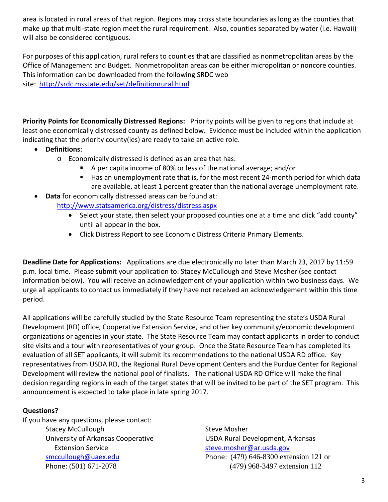area is located in rural areas of that region. Regions may cross state boundaries as long as the counties that make up that multi-state region meet the rural requirement. Also, counties separated by water (i.e. Hawaii) will also be considered contiguous.

For purposes of this application, rural refers to counties that are classified as nonmetropolitan areas by the Office of Management and Budget. Nonmetropolitan areas can be either micropolitan or noncore counties. This information can be downloaded from the following SRDC web site: http://srdc.msstate.edu/set/definitionrural.html

**Priority Points for Economically Distressed Regions:** Priority points will be given to regions that include at least one economically distressed county as defined below. Evidence must be included within the application indicating that the priority county(ies) are ready to take an active role.

- **Definitions**:
	- o Economically distressed is defined as an area that has:
		- A per capita income of 80% or less of the national average; and/or
		- Has an unemployment rate that is, for the most recent 24-month period for which data are available, at least 1 percent greater than the national average unemployment rate.
- **Data** for economically distressed areas can be found at: http://www.statsamerica.org/distress/distress.aspx
	- Select your state, then select your proposed counties one at a time and click "add county" until all appear in the box.
	- Click Distress Report to see Economic Distress Criteria Primary Elements.

**Deadline Date for Applications:** Applications are due electronically no later than March 23, 2017 by 11:59 p.m. local time. Please submit your application to: Stacey McCullough and Steve Mosher (see contact information below). You will receive an acknowledgement of your application within two business days. We urge all applicants to contact us immediately if they have not received an acknowledgement within this time period.

All applications will be carefully studied by the State Resource Team representing the state's USDA Rural Development (RD) office, Cooperative Extension Service, and other key community/economic development organizations or agencies in your state. The State Resource Team may contact applicants in order to conduct site visits and a tour with representatives of your group. Once the State Resource Team has completed its evaluation of all SET applicants, it will submit its recommendations to the national USDA RD office. Key representatives from USDA RD, the Regional Rural Development Centers and the Purdue Center for Regional Development will review the national pool of finalists. The national USDA RD Office will make the final decision regarding regions in each of the target states that will be invited to be part of the SET program. This announcement is expected to take place in late spring 2017.

#### **Questions?**

If you have any questions, please contact: Stacey McCullough Stacey Mosher University of Arkansas Cooperative **USDA Rural Development, Arkansas** Extension Service steve.mosher@ar.usda.gov

smccullough@uaex.edu Phone: (479) 646-8300 extension 121 or Phone: (501) 671-2078 (479) 968-3497 extension 112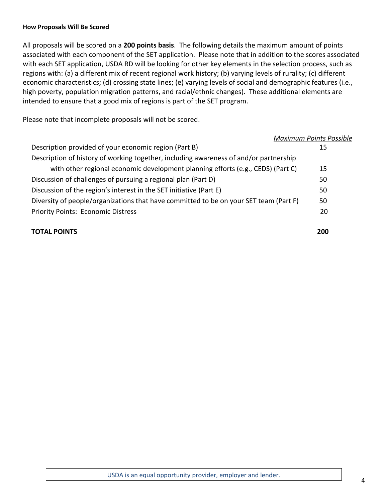#### **How Proposals Will Be Scored**

All proposals will be scored on a **200 points basis**. The following details the maximum amount of points associated with each component of the SET application. Please note that in addition to the scores associated with each SET application, USDA RD will be looking for other key elements in the selection process, such as regions with: (a) a different mix of recent regional work history; (b) varying levels of rurality; (c) different economic characteristics; (d) crossing state lines; (e) varying levels of social and demographic features (i.e., high poverty, population migration patterns, and racial/ethnic changes). These additional elements are intended to ensure that a good mix of regions is part of the SET program.

Please note that incomplete proposals will not be scored.

|                                                                                       | <b>Maximum Points Possible</b> |  |  |  |
|---------------------------------------------------------------------------------------|--------------------------------|--|--|--|
| Description provided of your economic region (Part B)                                 | 15                             |  |  |  |
| Description of history of working together, including awareness of and/or partnership |                                |  |  |  |
| with other regional economic development planning efforts (e.g., CEDS) (Part C)       | 15                             |  |  |  |
| Discussion of challenges of pursuing a regional plan (Part D)                         | 50                             |  |  |  |
| Discussion of the region's interest in the SET initiative (Part E)                    | 50                             |  |  |  |
| Diversity of people/organizations that have committed to be on your SET team (Part F) | 50                             |  |  |  |
| <b>Priority Points: Economic Distress</b>                                             | 20                             |  |  |  |
| <b>TOTAL POINTS</b>                                                                   | 200                            |  |  |  |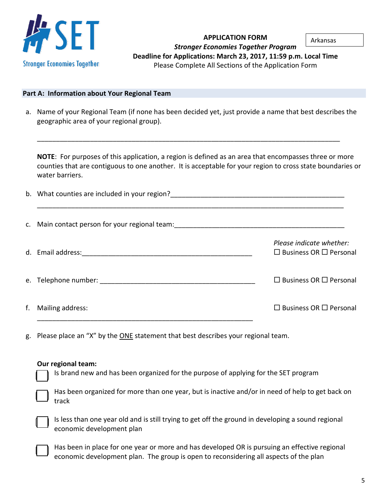

**APPLICATION FORM** *Stronger Economies Together Program* **Deadline for Applications: March 23, 2017, 11:59 p.m. Local Time** Please Complete All Sections of the Application Form Arkansas

#### **Part A: Information about Your Regional Team**

a. Name of your Regional Team (if none has been decided yet, just provide a name that best describes the geographic area of your regional group).

\_\_\_\_\_\_\_\_\_\_\_\_\_\_\_\_\_\_\_\_\_\_\_\_\_\_\_\_\_\_\_\_\_\_\_\_\_\_\_\_\_\_\_\_\_\_\_\_\_\_\_\_\_\_\_\_\_\_\_\_\_\_\_\_\_\_\_\_\_\_\_\_\_\_\_\_\_\_\_\_

**NOTE**: For purposes of this application, a region is defined as an area that encompasses three or more counties that are contiguous to one another. It is acceptable for your region to cross state boundaries or water barriers.

|                     | Please indicate whether:<br>$\Box$ Business OR $\Box$ Personal |
|---------------------|----------------------------------------------------------------|
|                     | $\Box$ Business OR $\Box$ Personal                             |
| f. Mailing address: | $\Box$ Business OR $\Box$ Personal                             |

g. Please place an "X" by the ONE statement that best describes your regional team.

#### **Our regional team:**

Is brand new and has been organized for the purpose of applying for the SET program

Has been organized for more than one year, but is inactive and/or in need of help to get back on track

Is less than one year old and is still trying to get off the ground in developing a sound regional economic development plan

Has been in place for one year or more and has developed OR is pursuing an effective regional economic development plan. The group is open to reconsidering all aspects of the plan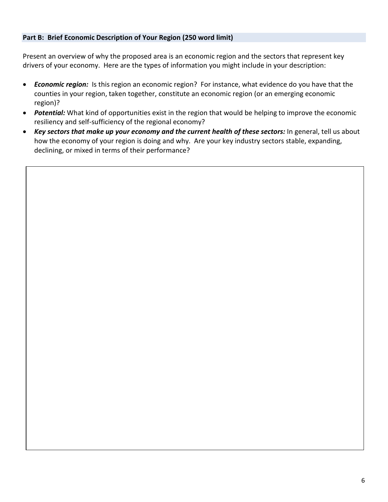#### **Part B: Brief Economic Description of Your Region (250 word limit)**

Present an overview of why the proposed area is an economic region and the sectors that represent key drivers of your economy. Here are the types of information you might include in your description:

- *Economic region:* Is this region an economic region? For instance, what evidence do you have that the counties in your region, taken together, constitute an economic region (or an emerging economic region)?
- *Potential:* What kind of opportunities exist in the region that would be helping to improve the economic resiliency and self-sufficiency of the regional economy?
- *Key sectors that make up your economy and the current health of these sectors:* In general, tell us about how the economy of your region is doing and why. Are your key industry sectors stable, expanding, declining, or mixed in terms of their performance?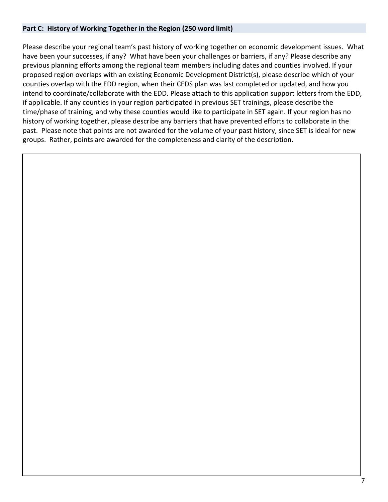#### **Part C: History of Working Together in the Region (250 word limit)**

Please describe your regional team's past history of working together on economic development issues. What have been your successes, if any? What have been your challenges or barriers, if any? Please describe any previous planning efforts among the regional team members including dates and counties involved. If your proposed region overlaps with an existing Economic Development District(s), please describe which of your counties overlap with the EDD region, when their CEDS plan was last completed or updated, and how you intend to coordinate/collaborate with the EDD. Please attach to this application support letters from the EDD, if applicable. If any counties in your region participated in previous SET trainings, please describe the time/phase of training, and why these counties would like to participate in SET again. If your region has no history of working together, please describe any barriers that have prevented efforts to collaborate in the past. Please note that points are not awarded for the volume of your past history, since SET is ideal for new groups. Rather, points are awarded for the completeness and clarity of the description.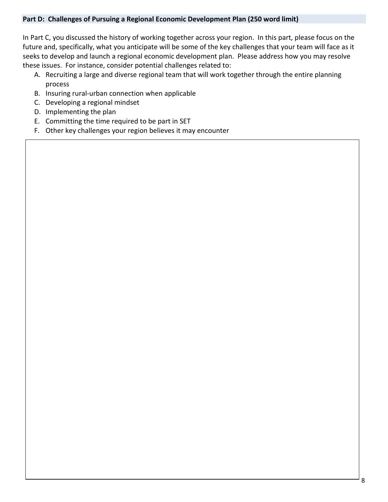#### **Part D: Challenges of Pursuing a Regional Economic Development Plan (250 word limit)**

In Part C, you discussed the history of working together across your region. In this part, please focus on the future and, specifically, what you anticipate will be some of the key challenges that your team will face as it seeks to develop and launch a regional economic development plan. Please address how you may resolve these issues. For instance, consider potential challenges related to:

- A. Recruiting a large and diverse regional team that will work together through the entire planning process
- B. Insuring rural-urban connection when applicable
- C. Developing a regional mindset
- D. Implementing the plan
- E. Committing the time required to be part in SET
- F. Other key challenges your region believes it may encounter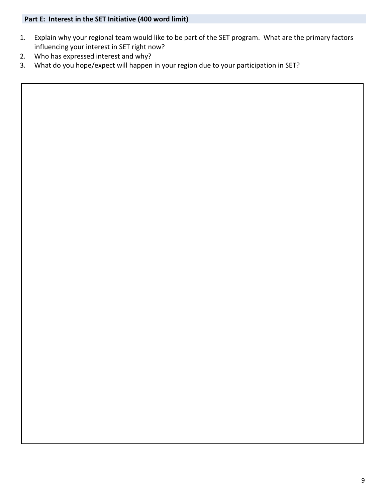### **Part E: Interest in the SET Initiative (400 word limit)**

- 1. Explain why your regional team would like to be part of the SET program. What are the primary factors influencing your interest in SET right now?
- 2. Who has expressed interest and why?
- 3. What do you hope/expect will happen in your region due to your participation in SET?